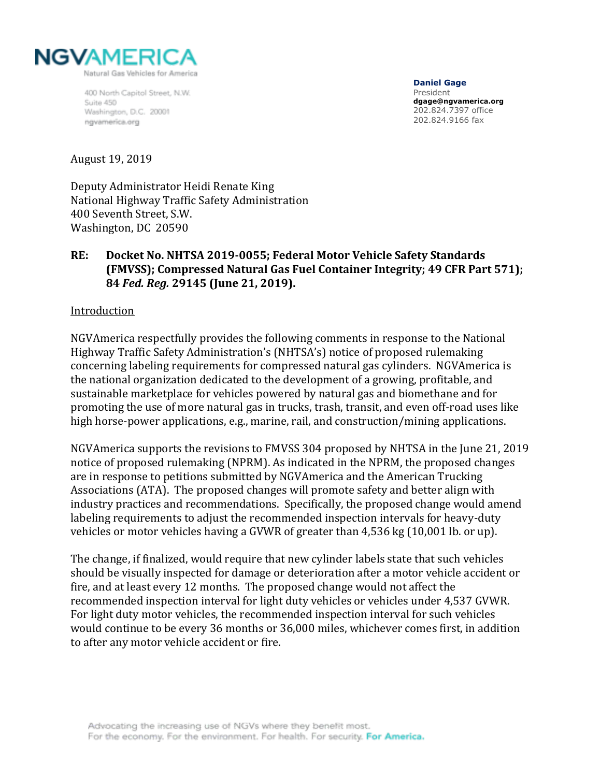

400 North Capitol Street, N.W. Suite 450 Washington, D.C. 20001 ngvamerica.org

**Daniel Gage**  President **dgage@ngvamerica.org**  202.824.7397 office 202.824.9166 fax

#### August 19, 2019

Deputy Administrator Heidi Renate King National Highway Traffic Safety Administration 400 Seventh Street, S.W. Washington, DC 20590

## **RE: Docket No. NHTSA 2019-0055; Federal Motor Vehicle Safety Standards (FMVSS); Compressed Natural Gas Fuel Container Integrity; 49 CFR Part 571); 84** *Fed. Reg.* **29145 (June 21, 2019).**

#### Introduction

NGVAmerica respectfully provides the following comments in response to the National Highway Traffic Safety Administration's (NHTSA's) notice of proposed rulemaking concerning labeling requirements for compressed natural gas cylinders. NGVAmerica is the national organization dedicated to the development of a growing, profitable, and sustainable marketplace for vehicles powered by natural gas and biomethane and for promoting the use of more natural gas in trucks, trash, transit, and even off-road uses like high horse-power applications, e.g., marine, rail, and construction/mining applications.

NGVAmerica supports the revisions to FMVSS 304 proposed by NHTSA in the June 21, 2019 notice of proposed rulemaking (NPRM). As indicated in the NPRM, the proposed changes are in response to petitions submitted by NGVAmerica and the American Trucking Associations (ATA). The proposed changes will promote safety and better align with industry practices and recommendations. Specifically, the proposed change would amend labeling requirements to adjust the recommended inspection intervals for heavy-duty vehicles or motor vehicles having a GVWR of greater than 4,536 kg (10,001 lb. or up).

The change, if finalized, would require that new cylinder labels state that such vehicles should be visually inspected for damage or deterioration after a motor vehicle accident or fire, and at least every 12 months. The proposed change would not affect the recommended inspection interval for light duty vehicles or vehicles under 4,537 GVWR. For light duty motor vehicles, the recommended inspection interval for such vehicles would continue to be every 36 months or 36,000 miles, whichever comes first, in addition to after any motor vehicle accident or fire.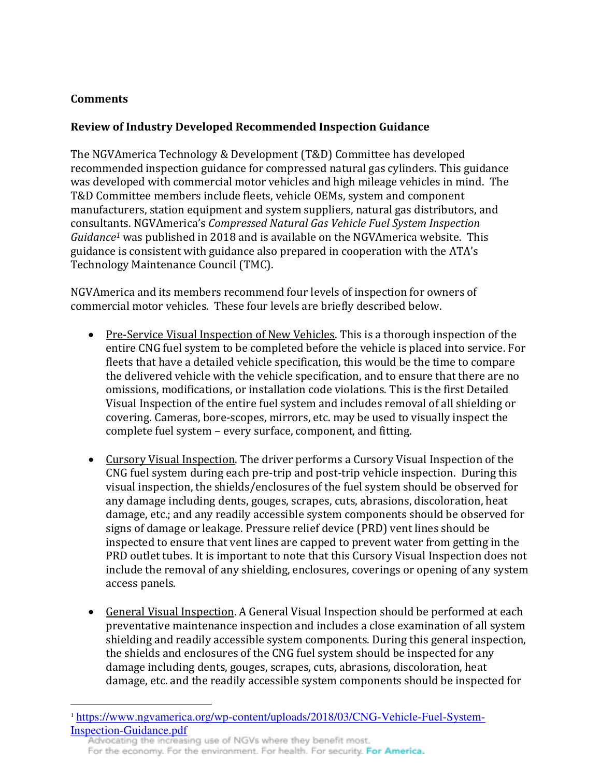# **Comments**

 $\overline{a}$ 

# **Review of Industry Developed Recommended Inspection Guidance**

The NGVAmerica Technology & Development (T&D) Committee has developed recommended inspection guidance for compressed natural gas cylinders. This guidance was developed with commercial motor vehicles and high mileage vehicles in mind. The T&D Committee members include fleets, vehicle OEMs, system and component manufacturers, station equipment and system suppliers, natural gas distributors, and consultants. NGVAmerica's *Compressed Natural Gas Vehicle Fuel System Inspection Guidance1* was published in 2018 and is available on the NGVAmerica website. This guidance is consistent with guidance also prepared in cooperation with the ATA's Technology Maintenance Council (TMC).

NGVAmerica and its members recommend four levels of inspection for owners of commercial motor vehicles. These four levels are briefly described below.

- Pre-Service Visual Inspection of New Vehicles. This is a thorough inspection of the entire CNG fuel system to be completed before the vehicle is placed into service. For fleets that have a detailed vehicle specification, this would be the time to compare the delivered vehicle with the vehicle specification, and to ensure that there are no omissions, modifications, or installation code violations. This is the first Detailed Visual Inspection of the entire fuel system and includes removal of all shielding or covering. Cameras, bore-scopes, mirrors, etc. may be used to visually inspect the complete fuel system – every surface, component, and fitting.
- Cursory Visual Inspection. The driver performs a Cursory Visual Inspection of the CNG fuel system during each pre-trip and post-trip vehicle inspection. During this visual inspection, the shields/enclosures of the fuel system should be observed for any damage including dents, gouges, scrapes, cuts, abrasions, discoloration, heat damage, etc.; and any readily accessible system components should be observed for signs of damage or leakage. Pressure relief device (PRD) vent lines should be inspected to ensure that vent lines are capped to prevent water from getting in the PRD outlet tubes. It is important to note that this Cursory Visual Inspection does not include the removal of any shielding, enclosures, coverings or opening of any system access panels.
- General Visual Inspection. A General Visual Inspection should be performed at each preventative maintenance inspection and includes a close examination of all system shielding and readily accessible system components. During this general inspection, the shields and enclosures of the CNG fuel system should be inspected for any damage including dents, gouges, scrapes, cuts, abrasions, discoloration, heat damage, etc. and the readily accessible system components should be inspected for

<sup>1</sup> [https://www.ngvamerica.org/wp-content/uploads/2018/03/CNG-Vehicle-Fuel-System-](https://www.ngvamerica.org/wp-content/uploads/2018/03/CNG-Vehicle-Fuel-System-Inspection-Guidance.pdf)**[Inspection-Guidance.pdf](https://www.ngvamerica.org/wp-content/uploads/2018/03/CNG-Vehicle-Fuel-System-Inspection-Guidance.pdf)**<br>Advocating the increasing use of NGVs where they benefit most.

For the economy. For the environment. For health. For security. For America.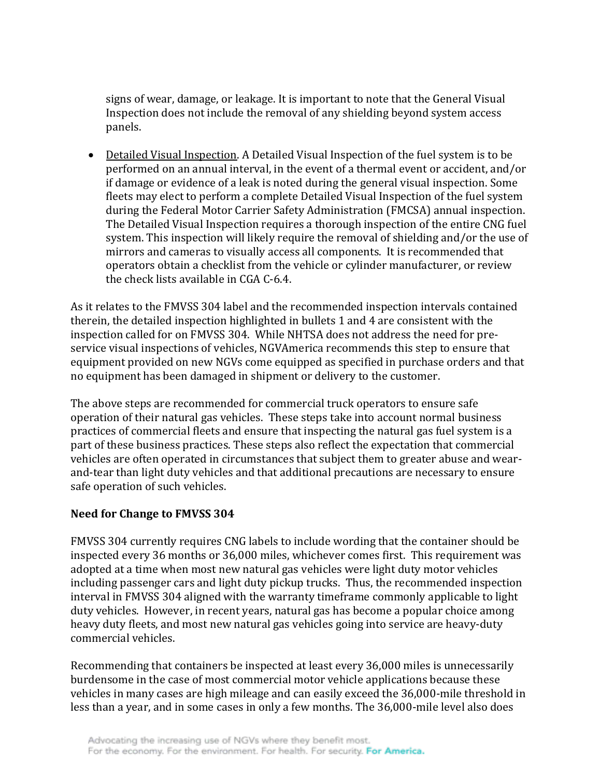signs of wear, damage, or leakage. It is important to note that the General Visual Inspection does not include the removal of any shielding beyond system access panels.

• Detailed Visual Inspection. A Detailed Visual Inspection of the fuel system is to be performed on an annual interval, in the event of a thermal event or accident, and/or if damage or evidence of a leak is noted during the general visual inspection. Some fleets may elect to perform a complete Detailed Visual Inspection of the fuel system during the Federal Motor Carrier Safety Administration (FMCSA) annual inspection. The Detailed Visual Inspection requires a thorough inspection of the entire CNG fuel system. This inspection will likely require the removal of shielding and/or the use of mirrors and cameras to visually access all components. It is recommended that operators obtain a checklist from the vehicle or cylinder manufacturer, or review the check lists available in CGA C-6.4.

As it relates to the FMVSS 304 label and the recommended inspection intervals contained therein, the detailed inspection highlighted in bullets 1 and 4 are consistent with the inspection called for on FMVSS 304. While NHTSA does not address the need for preservice visual inspections of vehicles, NGVAmerica recommends this step to ensure that equipment provided on new NGVs come equipped as specified in purchase orders and that no equipment has been damaged in shipment or delivery to the customer.

The above steps are recommended for commercial truck operators to ensure safe operation of their natural gas vehicles. These steps take into account normal business practices of commercial fleets and ensure that inspecting the natural gas fuel system is a part of these business practices. These steps also reflect the expectation that commercial vehicles are often operated in circumstances that subject them to greater abuse and wearand-tear than light duty vehicles and that additional precautions are necessary to ensure safe operation of such vehicles.

### **Need for Change to FMVSS 304**

FMVSS 304 currently requires CNG labels to include wording that the container should be inspected every 36 months or 36,000 miles, whichever comes first. This requirement was adopted at a time when most new natural gas vehicles were light duty motor vehicles including passenger cars and light duty pickup trucks. Thus, the recommended inspection interval in FMVSS 304 aligned with the warranty timeframe commonly applicable to light duty vehicles. However, in recent years, natural gas has become a popular choice among heavy duty fleets, and most new natural gas vehicles going into service are heavy-duty commercial vehicles.

Recommending that containers be inspected at least every 36,000 miles is unnecessarily burdensome in the case of most commercial motor vehicle applications because these vehicles in many cases are high mileage and can easily exceed the 36,000-mile threshold in less than a year, and in some cases in only a few months. The 36,000-mile level also does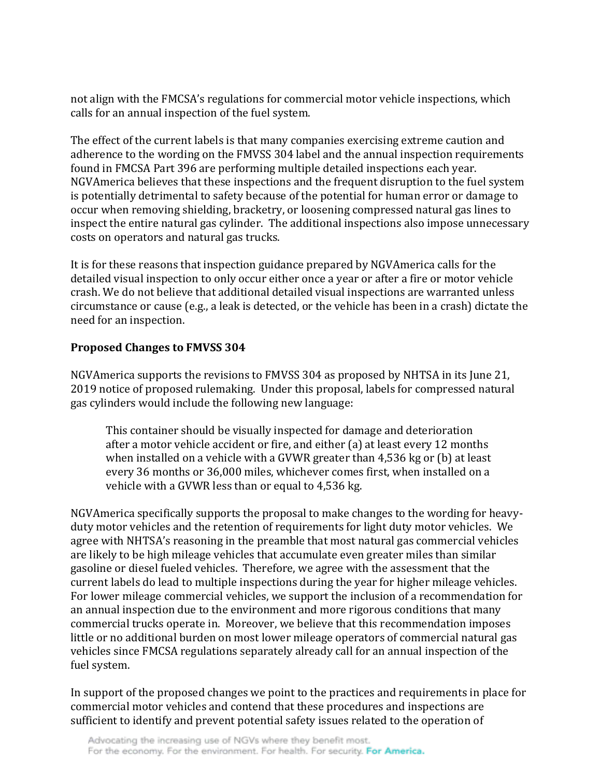not align with the FMCSA's regulations for commercial motor vehicle inspections, which calls for an annual inspection of the fuel system.

The effect of the current labels is that many companies exercising extreme caution and adherence to the wording on the FMVSS 304 label and the annual inspection requirements found in FMCSA Part 396 are performing multiple detailed inspections each year. NGVAmerica believes that these inspections and the frequent disruption to the fuel system is potentially detrimental to safety because of the potential for human error or damage to occur when removing shielding, bracketry, or loosening compressed natural gas lines to inspect the entire natural gas cylinder. The additional inspections also impose unnecessary costs on operators and natural gas trucks.

It is for these reasons that inspection guidance prepared by NGVAmerica calls for the detailed visual inspection to only occur either once a year or after a fire or motor vehicle crash. We do not believe that additional detailed visual inspections are warranted unless circumstance or cause (e.g., a leak is detected, or the vehicle has been in a crash) dictate the need for an inspection.

## **Proposed Changes to FMVSS 304**

NGVAmerica supports the revisions to FMVSS 304 as proposed by NHTSA in its June 21, 2019 notice of proposed rulemaking. Under this proposal, labels for compressed natural gas cylinders would include the following new language:

This container should be visually inspected for damage and deterioration after a motor vehicle accident or fire, and either (a) at least every 12 months when installed on a vehicle with a GVWR greater than 4,536 kg or (b) at least every 36 months or 36,000 miles, whichever comes first, when installed on a vehicle with a GVWR less than or equal to 4,536 kg.

NGVAmerica specifically supports the proposal to make changes to the wording for heavyduty motor vehicles and the retention of requirements for light duty motor vehicles. We agree with NHTSA's reasoning in the preamble that most natural gas commercial vehicles are likely to be high mileage vehicles that accumulate even greater miles than similar gasoline or diesel fueled vehicles. Therefore, we agree with the assessment that the current labels do lead to multiple inspections during the year for higher mileage vehicles. For lower mileage commercial vehicles, we support the inclusion of a recommendation for an annual inspection due to the environment and more rigorous conditions that many commercial trucks operate in. Moreover, we believe that this recommendation imposes little or no additional burden on most lower mileage operators of commercial natural gas vehicles since FMCSA regulations separately already call for an annual inspection of the fuel system.

In support of the proposed changes we point to the practices and requirements in place for commercial motor vehicles and contend that these procedures and inspections are sufficient to identify and prevent potential safety issues related to the operation of